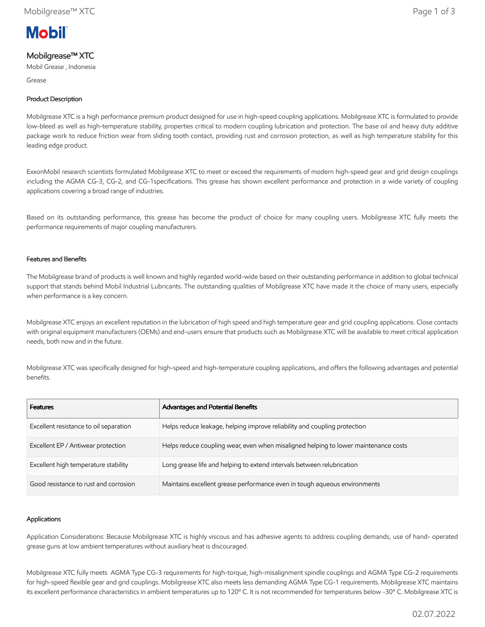

# Mobilgrease™ XTC

Mobil Grease , Indonesia

Grease

## Product Description

Mobilgrease XTC is a high performance premium product designed for use in high-speed coupling applications. Mobilgrease XTC is formulated to provide low-bleed as well as high-temperature stability, properties critical to modern coupling lubrication and protection. The base oil and heavy duty additive package work to reduce friction wear from sliding tooth contact, providing rust and corrosion protection, as well as high temperature stability for this leading edge product.

ExxonMobil research scientists formulated Mobilgrease XTC to meet or exceed the requirements of modern high-speed gear and grid design couplings including the AGMA CG-3, CG-2, and CG-1specifications. This grease has shown excellent performance and protection in a wide variety of coupling applications covering a broad range of industries.

Based on its outstanding performance, this grease has become the product of choice for many coupling users. Mobilgrease XTC fully meets the performance requirements of major coupling manufacturers.

## Features and Benefits

The Mobilgrease brand of products is well known and highly regarded world-wide based on their outstanding performance in addition to global technical support that stands behind Mobil Industrial Lubricants. The outstanding qualities of Mobilgrease XTC have made it the choice of many users, especially when performance is a key concern.

Mobilgrease XTC enjoys an excellent reputation in the lubrication of high speed and high temperature gear and grid coupling applications. Close contacts with original equipment manufacturers (OEMs) and end-users ensure that products such as Mobilgrease XTC will be available to meet critical application needs, both now and in the future.

Mobilgrease XTC was specifically designed for high-speed and high-temperature coupling applications, and offers the following advantages and potential benefits.

| <b>Features</b>                        | Advantages and Potential Benefits                                                   |
|----------------------------------------|-------------------------------------------------------------------------------------|
| Excellent resistance to oil separation | Helps reduce leakage, helping improve reliability and coupling protection           |
| Excellent EP / Antiwear protection     | Helps reduce coupling wear, even when misaligned helping to lower maintenance costs |
| Excellent high temperature stability   | Long grease life and helping to extend intervals between relubrication              |
| Good resistance to rust and corrosion  | Maintains excellent grease performance even in tough aqueous environments           |

#### Applications

Application Considerations: Because Mobilgrease XTC is highly viscous and has adhesive agents to address coupling demands, use of hand- operated grease guns at low ambient temperatures without auxiliary heat is discouraged.

Mobilgrease XTC fully meets AGMA Type CG-3 requirements for high-torque, high-misalignment spindle couplings and AGMA Type CG-2 requirements for high-speed flexible gear and grid couplings. Mobilgrease XTC also meets less demanding AGMA Type CG-1 requirements. Mobilgrease XTC maintains its excellent performance characteristics in ambient temperatures up to 120º C. It is not recommended for temperatures below -30º C. Mobilgrease XTC is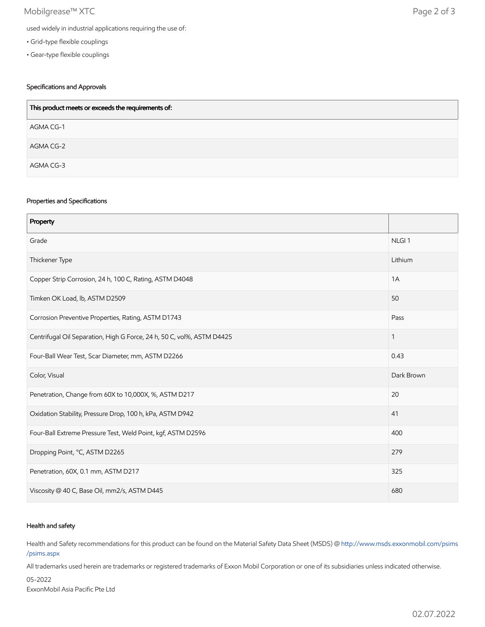## Mobilgrease™ XTC Page 2 of 3

- Grid-type flexible couplings
- Gear-type flexible couplings

## Specifications and Approvals

| This product meets or exceeds the requirements of: |
|----------------------------------------------------|
| AGMA CG-1                                          |
| AGMA CG-2                                          |
| AGMA CG-3                                          |

### Properties and Specifications

| Property                                                               |                   |
|------------------------------------------------------------------------|-------------------|
| Grade                                                                  | NLGI <sub>1</sub> |
| Thickener Type                                                         | Lithium           |
| Copper Strip Corrosion, 24 h, 100 C, Rating, ASTM D4048                | 1A                |
| Timken OK Load, lb, ASTM D2509                                         | 50                |
| Corrosion Preventive Properties, Rating, ASTM D1743                    | Pass              |
| Centrifugal Oil Separation, High G Force, 24 h, 50 C, vol%, ASTM D4425 | 1                 |
| Four-Ball Wear Test, Scar Diameter, mm, ASTM D2266                     | 0.43              |
| Color, Visual                                                          | Dark Brown        |
| Penetration, Change from 60X to 10,000X, %, ASTM D217                  | 20                |
| Oxidation Stability, Pressure Drop, 100 h, kPa, ASTM D942              | 41                |
| Four-Ball Extreme Pressure Test, Weld Point, kgf, ASTM D2596           | 400               |
| Dropping Point, °C, ASTM D2265                                         | 279               |
| Penetration, 60X, 0.1 mm, ASTM D217                                    | 325               |
| Viscosity @ 40 C, Base Oil, mm2/s, ASTM D445                           | 680               |

#### Health and safety

Health and Safety recommendations for this product can be found on the Material Safety Data Sheet (MSDS) @ [http://www.msds.exxonmobil.com/psims](http://www.msds.exxonmobil.com/psims/psims.aspx) /psims.aspx

All trademarks used herein are trademarks or registered trademarks of Exxon Mobil Corporation or one of its subsidiaries unless indicated otherwise.

05-2022 ExxonMobil Asia Pacific Pte Ltd